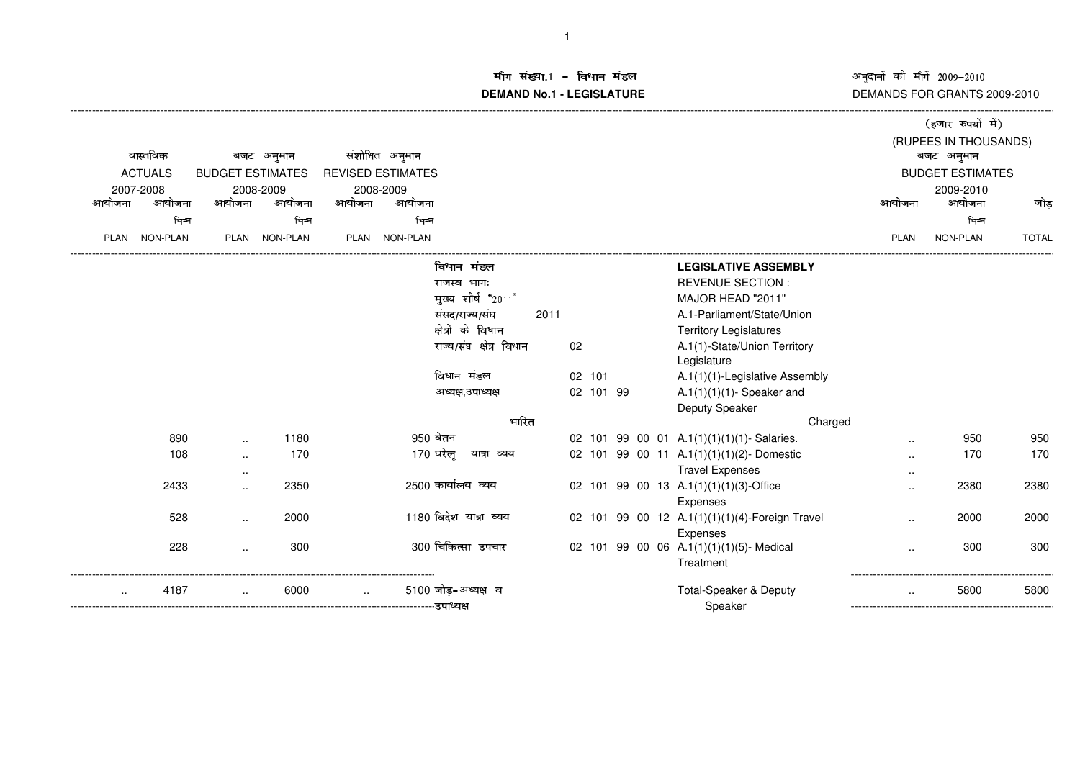# अनुदानों की माँगें 2009–2010<br>DEMANDS FOR GRANTS 2009-2010

#### ॉग संख्या.1 - विधान मं<br>\*\*\*\*\*\*\*\*\*\*\*\*\*\*\*\*\*\*\* **DEMAND No.1 - LEGISLATUREडल** अपनी कार्यक्रम के बाद करने हैं। इस प्रकाश के अन्य

------------------------------------------------------------------------------------------------------------------------------------------------------------------------------------------------------------------------------------------------------------------------------------

|        |                  |                      |                         |        |                          |                         |      |        |           |  |                                                |             | (हजार रुपयों में)       |              |
|--------|------------------|----------------------|-------------------------|--------|--------------------------|-------------------------|------|--------|-----------|--|------------------------------------------------|-------------|-------------------------|--------------|
|        |                  |                      |                         |        |                          |                         |      |        |           |  |                                                |             | (RUPEES IN THOUSANDS)   |              |
|        | वास्तविक         |                      | बजट अनुमान              |        | संशोधित अनुमान           |                         |      |        |           |  |                                                |             | बजट अनुमान              |              |
|        | <b>ACTUALS</b>   |                      | <b>BUDGET ESTIMATES</b> |        | <b>REVISED ESTIMATES</b> |                         |      |        |           |  |                                                |             | <b>BUDGET ESTIMATES</b> |              |
|        | 2007-2008        |                      | 2008-2009               |        | 2008-2009                |                         |      |        |           |  |                                                |             | 2009-2010               |              |
| आयोजना | आयोजना           | आयोजना               | आयोजना                  | आयोजना | आयोजना                   |                         |      |        |           |  |                                                | आयोजना      | आयोजना                  | जोड          |
|        | भिन्न            |                      | भिन्न                   |        | भिन्न                    |                         |      |        |           |  |                                                |             | भिन्न                   |              |
|        | PLAN NON-PLAN    |                      | PLAN NON-PLAN           |        | PLAN NON-PLAN            |                         |      |        |           |  |                                                | <b>PLAN</b> | NON-PLAN                | <b>TOTAL</b> |
|        |                  |                      |                         |        |                          | विधान मंडल              |      |        |           |  | <b>LEGISLATIVE ASSEMBLY</b>                    |             |                         |              |
|        |                  |                      |                         |        |                          | राजस्व भागः             |      |        |           |  | <b>REVENUE SECTION:</b>                        |             |                         |              |
|        |                  |                      |                         |        |                          | मुख्य शीर्ष "2011"      |      |        |           |  | MAJOR HEAD "2011"                              |             |                         |              |
|        |                  |                      |                         |        |                          | संसद/राज्य/संघ          | 2011 |        |           |  | A.1-Parliament/State/Union                     |             |                         |              |
|        |                  |                      |                         |        |                          | क्षेत्रों के विधान      |      |        |           |  | <b>Territory Legislatures</b>                  |             |                         |              |
|        |                  |                      |                         |        |                          | राज्य/संघ क्षेत्र विधान |      | 02     |           |  | A.1(1)-State/Union Territory<br>Legislature    |             |                         |              |
|        |                  |                      |                         |        |                          | विधान मंडल              |      | 02 101 |           |  | A.1(1)(1)-Legislative Assembly                 |             |                         |              |
|        |                  |                      |                         |        |                          | अध्यक्ष,उपाध्यक्ष       |      |        | 02 101 99 |  | $A.1(1)(1)(1)$ - Speaker and                   |             |                         |              |
|        |                  |                      |                         |        |                          |                         |      |        |           |  | Deputy Speaker                                 |             |                         |              |
|        |                  |                      |                         |        |                          | भारित                   |      |        |           |  | Charged                                        |             |                         |              |
|        | 890              | $\cdot$ .            | 1180                    |        | 950 वेतन                 |                         |      |        |           |  | 02 101 99 00 01 A.1(1)(1)(1)(1)- Salaries.     | $\cdot$ .   | 950                     | 950          |
|        | 108              | $\ddot{\phantom{a}}$ | 170                     |        | 170 घरेलू                | यात्रा व्यय             |      |        |           |  | 02 101 99 00 11 A.1(1)(1)(1)(2)-Domestic       |             | 170                     | 170          |
|        |                  | $\ddot{\phantom{a}}$ |                         |        |                          |                         |      |        |           |  | <b>Travel Expenses</b>                         | $\cdot$ .   |                         |              |
|        | 2433             | $\cdot$ .            | 2350                    |        |                          | 2500 कार्यालय व्यय      |      |        |           |  | 02 101 99 00 13 A.1(1)(1)(1)(3)-Office         | $\ddotsc$   | 2380                    | 2380         |
|        |                  |                      |                         |        |                          |                         |      |        |           |  | Expenses                                       |             |                         |              |
|        | 528              | $\ddotsc$            | 2000                    |        |                          | 1180 विदेश यात्रा व्यय  |      |        |           |  | 02 101 99 00 12 A.1(1)(1)(1)(4)-Foreign Travel | $\cdot$ .   | 2000                    | 2000         |
|        |                  |                      |                         |        |                          |                         |      |        |           |  | Expenses                                       |             |                         |              |
|        | 228              |                      | 300                     |        |                          | 300 चिकित्सा उपचार      |      |        |           |  | 02 101 99 00 06 A.1(1)(1)(1)(5)- Medical       | $\ddotsc$   | 300                     | 300          |
|        |                  |                      |                         |        |                          |                         |      |        |           |  | Treatment                                      |             |                         |              |
|        | 4187<br>$\ldots$ |                      | 6000                    |        |                          | 5100 जोड़-अध्यक्ष व     |      |        |           |  | <b>Total-Speaker &amp; Deputy</b>              | $\cdot$ .   | 5800                    | 5800         |
|        |                  |                      |                         |        |                          |                         |      |        |           |  | Speaker                                        |             |                         |              |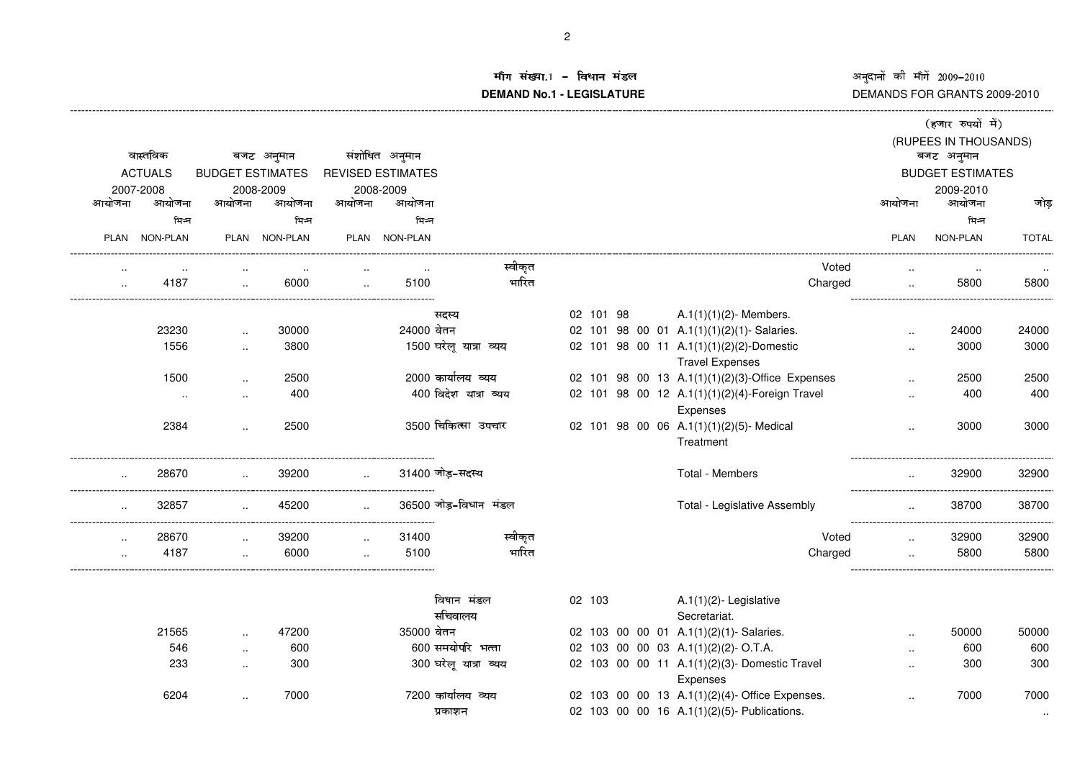# अनुदानों की माँगें 2009–2010<br>DEMANDS FOR GRANTS 2009-2010

#### ÎÏÐÑÓÔÒÕÏ Ö ר ÙÚÏÛÏÜÎÓ ÝÞßàá**DEMAND No.1 - LEGISLATURE**

------------------------------------------------------------------------------------------------------------------------------------------------------------------------------------------------------------------------------------------------------------------------------------

|                      |                |                         |               |                      |                          |                        |           |  |                                                                    |                      | (हजार रुपयों में)       |              |
|----------------------|----------------|-------------------------|---------------|----------------------|--------------------------|------------------------|-----------|--|--------------------------------------------------------------------|----------------------|-------------------------|--------------|
|                      |                |                         |               |                      |                          |                        |           |  |                                                                    |                      | (RUPEES IN THOUSANDS)   |              |
|                      | वास्तविक       |                         | बजट अनुमान    |                      | संशोधित अनुमान           |                        |           |  |                                                                    |                      | बजट अनुमान              |              |
|                      | <b>ACTUALS</b> | <b>BUDGET ESTIMATES</b> |               |                      | <b>REVISED ESTIMATES</b> |                        |           |  |                                                                    |                      | <b>BUDGET ESTIMATES</b> |              |
|                      | 2007-2008      |                         | 2008-2009     |                      | 2008-2009                |                        |           |  |                                                                    |                      | 2009-2010               |              |
| आयोजना               | आयोजना         | आयोजना                  | आयोजना        | आयोजना               | आयोजना                   |                        |           |  |                                                                    | आयोजना               | आयोजना                  | जोड          |
|                      | भिन्न          |                         | भिन्न         |                      | भिन्न                    |                        |           |  |                                                                    |                      | भिन्न                   |              |
|                      | PLAN NON-PLAN  |                         | PLAN NON-PLAN |                      | PLAN NON-PLAN            |                        |           |  |                                                                    | <b>PLAN</b>          | <b>NON-PLAN</b>         | <b>TOTAL</b> |
|                      |                |                         |               |                      | $\ddotsc$                | स्वीकृत                |           |  | Voted                                                              |                      | $\ddotsc$               |              |
|                      | 4187           |                         | 6000          |                      | 5100                     | भारित                  |           |  | Charged                                                            |                      | 5800                    | 5800         |
|                      |                |                         |               |                      |                          | सदस्य                  | 02 101 98 |  | $A.1(1)(1)(2)$ - Members.                                          |                      |                         |              |
|                      | 23230          | $\ddotsc$               | 30000         |                      | 24000 वेतन               |                        |           |  | 02 101 98 00 01 A.1(1)(1)(2)(1)-Salaries.                          | $\ddotsc$            | 24000                   | 24000        |
|                      | 1556           | $\ddot{\phantom{a}}$    | 3800          |                      |                          | 1500 घरेलू यात्रा व्यय |           |  | 02 101 98 00 11 A.1(1)(1)(2)(2)-Domestic<br><b>Travel Expenses</b> | $\ddotsc$            | 3000                    | 3000         |
|                      | 1500           | $\ddotsc$               | 2500          |                      |                          | 2000 कार्यालय व्यय     |           |  | 02 101 98 00 13 A.1(1)(1)(2)(3)-Office Expenses                    |                      | 2500                    | 2500         |
|                      | $\ldots$       | $\ddotsc$               | 400           |                      |                          | 400 विदेश यात्रा व्यय  |           |  | 02 101 98 00 12 A.1(1)(1)(2)(4)-Foreign Travel<br>Expenses         | $\ddotsc$            | 400                     | 400          |
|                      | 2384           |                         | 2500          |                      |                          | 3500 चिकित्सा उपचार    |           |  | 02 101 98 00 06 A.1(1)(1)(2)(5)- Medical<br>Treatment              |                      | 3000                    | 3000         |
| $\ddot{\phantom{a}}$ | 28670          |                         | 39200         |                      | 31400 जोड-सदस्य          |                        |           |  | Total - Members                                                    |                      | 32900                   | 32900        |
|                      | 32857          |                         | 45200         |                      |                          | 36500 जोड-विधान मंडल   |           |  | Total - Legislative Assembly                                       |                      | 38700                   | 38700        |
| $\ldots$             | 28670          |                         | 39200         | $\ddot{\phantom{a}}$ | 31400                    | स्वीकृत                |           |  | Voted                                                              | $\ddot{\phantom{a}}$ | 32900                   | 32900        |
|                      | 4187           |                         | 6000          |                      | 5100                     | भारित                  |           |  | Charged                                                            | $\ddot{\phantom{a}}$ | 5800                    | 5800         |
|                      |                |                         |               |                      |                          | विधान मंडल             |           |  |                                                                    |                      |                         |              |
|                      |                |                         |               |                      |                          | सचिवालय                | 02 103    |  | A.1(1)(2)- Legislative<br>Secretariat.                             |                      |                         |              |
|                      | 21565          | $\ddotsc$               | 47200         |                      | 35000 वेतन               |                        |           |  | 02 103 00 00 01 A.1(1)(2)(1)-Salaries.                             | $\cdot$              | 50000                   | 50000        |
|                      | 546            | $\ddotsc$               | 600           |                      |                          | 600 समयोपरि भत्ता      |           |  | 02 103 00 00 03 A.1(1)(2)(2)-O.T.A.                                | $\ddot{\phantom{a}}$ | 600                     | 600          |
|                      | 233            | $\ddotsc$               | 300           |                      |                          | 300 घरेलू यात्रा व्यय  |           |  | 02 103 00 00 11 A.1(1)(2)(3)- Domestic Travel                      | $\ddot{\phantom{a}}$ | 300                     | 300          |
|                      |                |                         |               |                      |                          |                        |           |  | Expenses                                                           |                      |                         |              |
|                      | 6204           | $\ddotsc$               | 7000          |                      |                          | 7200 कार्यालय व्यय     |           |  | 02 103 00 00 13 A.1(1)(2)(4)- Office Expenses.                     | $\ddot{\phantom{a}}$ | 7000                    | 7000         |
|                      |                |                         |               |                      |                          | प्रकाशन                |           |  | 02 103 00 00 16 A.1(1)(2)(5)- Publications.                        |                      |                         | $\ddotsc$    |
|                      |                |                         |               |                      |                          |                        |           |  |                                                                    |                      |                         |              |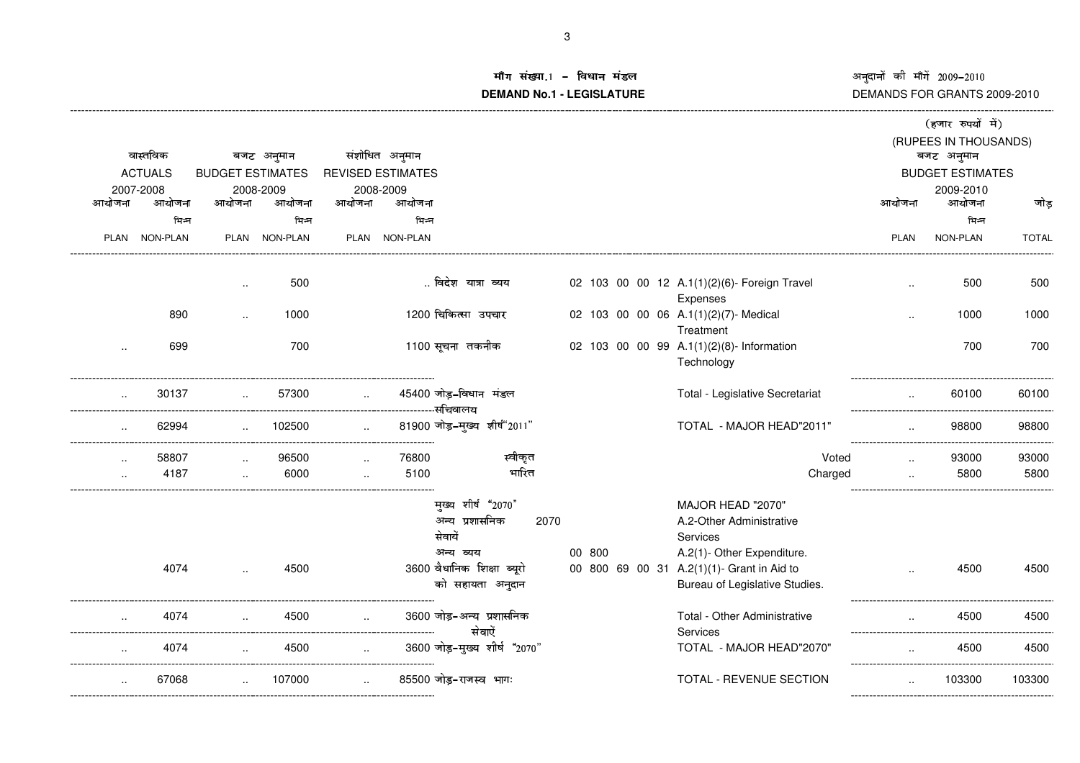### अनुदानों की माँगें 2009–2010 DEMANDS FOR GRANTS 2009-2010

#### माँग संख्या.1 - विधान मंडल **DEMAND No.1 - LEGISLATURE**

-------------

|           |                 |                         |                 |                                  |                          |                                                                      |        |                                                                                         |             | (हजार रुपयों में)       |              |
|-----------|-----------------|-------------------------|-----------------|----------------------------------|--------------------------|----------------------------------------------------------------------|--------|-----------------------------------------------------------------------------------------|-------------|-------------------------|--------------|
|           |                 |                         |                 |                                  |                          |                                                                      |        |                                                                                         |             | (RUPEES IN THOUSANDS)   |              |
|           | वास्तविक        |                         | बजट अनुमान      |                                  | संशोधित अनुमान           |                                                                      |        |                                                                                         |             | बजट अनुमान              |              |
|           | <b>ACTUALS</b>  | <b>BUDGET ESTIMATES</b> |                 |                                  | <b>REVISED ESTIMATES</b> |                                                                      |        |                                                                                         |             | <b>BUDGET ESTIMATES</b> |              |
|           | 2007-2008       |                         | 2008-2009       |                                  | 2008-2009                |                                                                      |        |                                                                                         |             | 2009-2010               |              |
| आयोजना    | आयोजना          | आयोजना                  | आयोजना          | आयोजना                           | आयोजना                   |                                                                      |        |                                                                                         | आयोजना      | आयोजना                  | जोड़         |
|           | भिन्न           |                         | भिन्न           |                                  | भिन्न                    |                                                                      |        |                                                                                         |             | भिन्न                   |              |
| PLAN      | <b>NON-PLAN</b> | <b>PLAN</b>             | <b>NON-PLAN</b> |                                  | PLAN NON-PLAN            |                                                                      |        |                                                                                         | <b>PLAN</b> | <b>NON-PLAN</b>         | <b>TOTAL</b> |
|           |                 | $\ddotsc$               | 500             |                                  |                          | विदेश यात्रा व्यय                                                    |        | 02 103 00 00 12 A.1(1)(2)(6)- Foreign Travel<br>Expenses                                |             | 500                     | 500          |
|           | 890             |                         | 1000            |                                  |                          | 1200 चिकित्सा उपचार                                                  |        | 02 103 00 00 06 A.1(1)(2)(7)- Medical<br>Treatment                                      |             | 1000                    | 1000         |
|           | 699             |                         | 700             |                                  |                          | 1100 सूचना तकनीक                                                     |        | 02 103 00 00 99 A.1(1)(2)(8)- Information<br>Technology                                 |             | 700                     | 700          |
|           | 30137           |                         | 57300           | -------------------------------- | ------------सचिवालय      | 45400 जोड-विधान मंडल                                                 |        | Total - Legislative Secretariat                                                         |             | 60100                   | 60100        |
| $\ddotsc$ | 62994           |                         | 102500          |                                  |                          | 81900 जोड़-मुख्य शीर्ष"2011"                                         |        | TOTAL - MAJOR HEAD"2011"                                                                | $\ddotsc$   | 98800                   | 98800        |
| $\ddotsc$ | 58807           | $\ddotsc$               | 96500           | $\ddotsc$                        | 76800                    | स्वीकृत                                                              |        | Voted                                                                                   | $\ddotsc$   | 93000                   | 93000        |
|           | 4187            |                         | 6000            |                                  | 5100                     | भारित                                                                |        | Charged                                                                                 |             | 5800                    | 5800         |
|           |                 |                         |                 |                                  |                          | मुख्य शीर्ष "2070"<br>अन्य प्रशासनिक<br>2070<br>सेवायें<br>अन्य व्यय | 00 800 | MAJOR HEAD "2070"<br>A.2-Other Administrative<br>Services<br>A.2(1)- Other Expenditure. |             |                         |              |
|           | 4074            | $\ddotsc$               | 4500            |                                  |                          | 3600 वैधानिक शिक्षा ब्यूरो<br>को सहायता अनुदान                       |        | 00 800 69 00 31 A.2(1)(1)- Grant in Aid to<br>Bureau of Legislative Studies.            |             | 4500                    | 4500         |
|           | 4074            |                         | 4500            |                                  |                          | 3600 जोड़-अन्य प्रशासनिक<br>सेवाऐँ                                   |        | Total - Other Administrative<br>Services                                                |             | 4500                    | 4500         |
|           | 4074            |                         | 4500            |                                  |                          | 3600 जोड़-मुख्य शीर्ष "2070"                                         |        | TOTAL - MAJOR HEAD"2070"                                                                |             | 4500                    | 4500         |
|           | 67068           |                         | 107000          |                                  |                          | 85500 जोड-राजस्व भागः                                                |        | TOTAL - REVENUE SECTION                                                                 | $\ddotsc$   | 103300                  | 103300       |